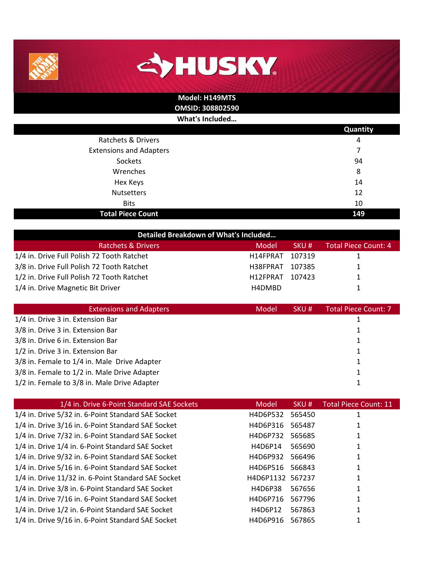



## **Model: H149MTS**

**OMSID: 308802590**

**What's Included…**

|                                | Quantity |
|--------------------------------|----------|
| <b>Ratchets &amp; Drivers</b>  | 4        |
| <b>Extensions and Adapters</b> | 7        |
| Sockets                        | 94       |
| Wrenches                       | 8        |
| Hex Keys                       | 14       |
| <b>Nutsetters</b>              | 12       |
| <b>Bits</b>                    | 10       |
| <b>Total Piece Count</b>       | 149      |

| Detailed Breakdown of What's Included      |          |        |                             |
|--------------------------------------------|----------|--------|-----------------------------|
| Ratchets & Drivers                         | Model    | SKU#   | <b>Total Piece Count: 4</b> |
| 1/4 in. Drive Full Polish 72 Tooth Ratchet | H14FPRAT | 107319 |                             |
| 3/8 in. Drive Full Polish 72 Tooth Ratchet | H38FPRAT | 107385 |                             |
| 1/2 in. Drive Full Polish 72 Tooth Ratchet | H12FPRAT | 107423 |                             |
| 1/4 in. Drive Magnetic Bit Driver          | H4DMBD   |        |                             |

| <b>Extensions and Adapters</b>               | Model | SKU# | <b>Total Piece Count: 7</b> |
|----------------------------------------------|-------|------|-----------------------------|
| 1/4 in. Drive 3 in. Extension Bar            |       |      |                             |
| 3/8 in. Drive 3 in. Extension Bar            |       |      |                             |
| 3/8 in. Drive 6 in. Extension Bar            |       |      |                             |
| 1/2 in. Drive 3 in. Extension Bar            |       |      |                             |
| 3/8 in. Female to 1/4 in. Male Drive Adapter |       |      |                             |
| 3/8 in. Female to 1/2 in. Male Drive Adapter |       |      |                             |
| 1/2 in. Female to 3/8 in. Male Drive Adapter |       |      |                             |

| 1/4 in. Drive 6-Point Standard SAE Sockets          | Model            | SKU#   | <b>Total Piece Count: 11</b> |
|-----------------------------------------------------|------------------|--------|------------------------------|
| 1/4 in. Drive 5/32 in. 6-Point Standard SAE Socket  | H4D6P532         | 565450 |                              |
| 1/4 in. Drive 3/16 in. 6-Point Standard SAE Socket  | H4D6P316         | 565487 |                              |
| 1/4 in. Drive 7/32 in. 6-Point Standard SAE Socket  | H4D6P732         | 565685 |                              |
| 1/4 in. Drive 1/4 in. 6-Point Standard SAE Socket   | H4D6P14          | 565690 |                              |
| 1/4 in. Drive 9/32 in. 6-Point Standard SAE Socket  | H4D6P932         | 566496 |                              |
| 1/4 in. Drive 5/16 in. 6-Point Standard SAE Socket  | H4D6P516         | 566843 |                              |
| 1/4 in. Drive 11/32 in. 6-Point Standard SAE Socket | H4D6P1132 567237 |        |                              |
| 1/4 in. Drive 3/8 in. 6-Point Standard SAE Socket   | H4D6P38          | 567656 |                              |
| 1/4 in. Drive 7/16 in. 6-Point Standard SAE Socket  | H4D6P716         | 567796 |                              |
| 1/4 in. Drive 1/2 in. 6-Point Standard SAE Socket   | H4D6P12          | 567863 |                              |
| 1/4 in. Drive 9/16 in. 6-Point Standard SAE Socket  | H4D6P916         | 567865 |                              |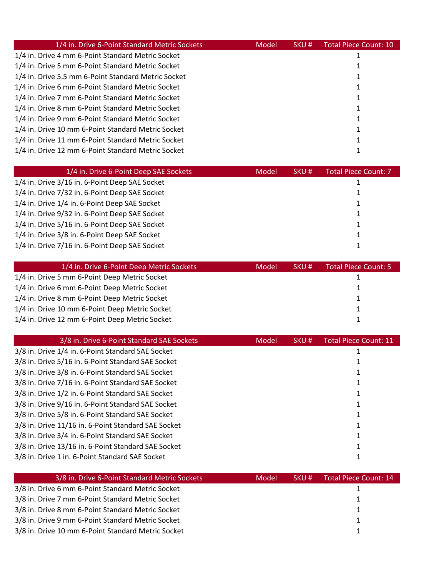| 1/4 in. Drive 6-Point Standard Metric Sockets       | Model | SKU# | <b>Total Piece Count: 10</b> |
|-----------------------------------------------------|-------|------|------------------------------|
| 1/4 in. Drive 4 mm 6-Point Standard Metric Socket   |       |      |                              |
| 1/4 in. Drive 5 mm 6-Point Standard Metric Socket   |       |      |                              |
| 1/4 in. Drive 5.5 mm 6-Point Standard Metric Socket |       |      |                              |
| 1/4 in. Drive 6 mm 6-Point Standard Metric Socket   |       |      |                              |
| 1/4 in. Drive 7 mm 6-Point Standard Metric Socket   |       |      |                              |
| 1/4 in. Drive 8 mm 6-Point Standard Metric Socket   |       |      |                              |
| 1/4 in. Drive 9 mm 6-Point Standard Metric Socket   |       |      |                              |
| 1/4 in. Drive 10 mm 6-Point Standard Metric Socket  |       |      |                              |
| 1/4 in. Drive 11 mm 6-Point Standard Metric Socket  |       |      |                              |
| 1/4 in. Drive 12 mm 6-Point Standard Metric Socket  |       |      |                              |

| 1/4 in. Drive 6-Point Deep SAE Sockets         | Model | SKU# | <b>Total Piece Count: 7</b> |
|------------------------------------------------|-------|------|-----------------------------|
| 1/4 in. Drive 3/16 in. 6-Point Deep SAE Socket |       |      |                             |
| 1/4 in. Drive 7/32 in. 6-Point Deep SAE Socket |       |      |                             |
| 1/4 in. Drive 1/4 in. 6-Point Deep SAE Socket  |       |      |                             |
| 1/4 in. Drive 9/32 in. 6-Point Deep SAE Socket |       |      |                             |
| 1/4 in. Drive 5/16 in. 6-Point Deep SAE Socket |       |      |                             |
| 1/4 in. Drive 3/8 in. 6-Point Deep SAE Socket  |       |      |                             |
| 1/4 in. Drive 7/16 in. 6-Point Deep SAE Socket |       |      |                             |

| 1/4 in. Drive 6-Point Deep Metric Sockets      | Model | SKU# | <b>Total Piece Count: 5</b> |
|------------------------------------------------|-------|------|-----------------------------|
| 1/4 in. Drive 5 mm 6-Point Deep Metric Socket  |       |      |                             |
| 1/4 in. Drive 6 mm 6-Point Deep Metric Socket  |       |      |                             |
| 1/4 in. Drive 8 mm 6-Point Deep Metric Socket  |       |      |                             |
| 1/4 in. Drive 10 mm 6-Point Deep Metric Socket |       |      |                             |
| 1/4 in. Drive 12 mm 6-Point Deep Metric Socket |       |      |                             |

| 3/8 in. Drive 6-Point Standard SAE Sockets          | Model | SKU# | <b>Total Piece Count: 11</b> |
|-----------------------------------------------------|-------|------|------------------------------|
| 3/8 in. Drive 1/4 in. 6-Point Standard SAE Socket   |       |      |                              |
| 3/8 in. Drive 5/16 in. 6-Point Standard SAE Socket  |       |      |                              |
| 3/8 in. Drive 3/8 in. 6-Point Standard SAE Socket   |       |      |                              |
| 3/8 in. Drive 7/16 in. 6-Point Standard SAE Socket  |       |      |                              |
| 3/8 in. Drive 1/2 in. 6-Point Standard SAE Socket   |       |      |                              |
| 3/8 in. Drive 9/16 in. 6-Point Standard SAE Socket  |       |      |                              |
| 3/8 in. Drive 5/8 in. 6-Point Standard SAE Socket   |       |      |                              |
| 3/8 in. Drive 11/16 in. 6-Point Standard SAE Socket |       |      |                              |
| 3/8 in. Drive 3/4 in. 6-Point Standard SAE Socket   |       |      |                              |
| 3/8 in. Drive 13/16 in. 6-Point Standard SAE Socket |       |      |                              |
| 3/8 in. Drive 1 in. 6-Point Standard SAE Socket     |       |      |                              |

| 3/8 in. Drive 6-Point Standard Metric Sockets      | Model | SKU# | Total Piece Count: 14 |
|----------------------------------------------------|-------|------|-----------------------|
| 3/8 in. Drive 6 mm 6-Point Standard Metric Socket  |       |      |                       |
| 3/8 in. Drive 7 mm 6-Point Standard Metric Socket  |       |      |                       |
| 3/8 in. Drive 8 mm 6-Point Standard Metric Socket  |       |      |                       |
| 3/8 in. Drive 9 mm 6-Point Standard Metric Socket  |       |      |                       |
| 3/8 in. Drive 10 mm 6-Point Standard Metric Socket |       |      |                       |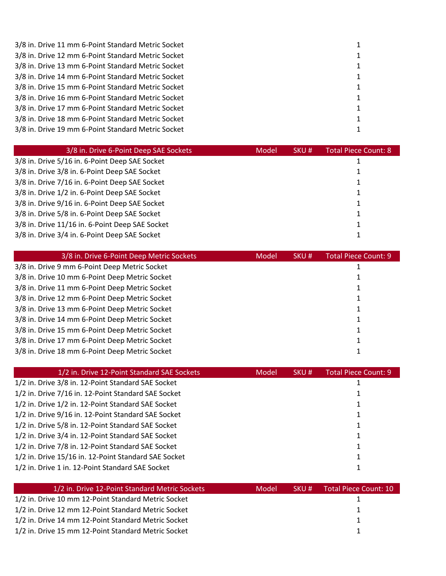3/8 in. Drive 11 mm 6-Point Standard Metric Socket 1 1 and 2008 1 1 and 2008 1 2 and 2008 1 2 and 3 and 3 and 3 and 3 and 4 and 3 and 3 and 3 and 3 and 3 and 3 and 3 and 3 and 3 and 3 and 3 and 3 and 3 and 3 and 3 and 3 an 3/8 in. Drive 12 mm 6-Point Standard Metric Socket 1 3/8 in. Drive 13 mm 6-Point Standard Metric Socket 1 3/8 in. Drive 14 mm 6-Point Standard Metric Socket 1 3/8 in. Drive 15 mm 6-Point Standard Metric Socket 1 3/8 in. Drive 16 mm 6-Point Standard Metric Socket 1 3/8 in. Drive 17 mm 6-Point Standard Metric Socket 1 3/8 in. Drive 18 mm 6-Point Standard Metric Socket 1 3/8 in. Drive 19 mm 6-Point Standard Metric Socket 1

| 3/8 in. Drive 6-Point Deep SAE Sockets          | Model | SKU# | <b>Total Piece Count: 8</b> |
|-------------------------------------------------|-------|------|-----------------------------|
| 3/8 in. Drive 5/16 in. 6-Point Deep SAE Socket  |       |      |                             |
| 3/8 in. Drive 3/8 in. 6-Point Deep SAE Socket   |       |      |                             |
| 3/8 in. Drive 7/16 in. 6-Point Deep SAE Socket  |       |      |                             |
| 3/8 in. Drive 1/2 in. 6-Point Deep SAE Socket   |       |      |                             |
| 3/8 in. Drive 9/16 in. 6-Point Deep SAE Socket  |       |      |                             |
| 3/8 in. Drive 5/8 in. 6-Point Deep SAE Socket   |       |      |                             |
| 3/8 in. Drive 11/16 in. 6-Point Deep SAE Socket |       |      |                             |
| 3/8 in. Drive 3/4 in. 6-Point Deep SAE Socket   |       |      |                             |

| 3/8 in. Drive 6-Point Deep Metric Sockets      | Model | SKU# | Total Piece Count: 9 |
|------------------------------------------------|-------|------|----------------------|
| 3/8 in. Drive 9 mm 6-Point Deep Metric Socket  |       |      |                      |
| 3/8 in. Drive 10 mm 6-Point Deep Metric Socket |       |      |                      |
| 3/8 in. Drive 11 mm 6-Point Deep Metric Socket |       |      |                      |
| 3/8 in. Drive 12 mm 6-Point Deep Metric Socket |       |      |                      |
| 3/8 in. Drive 13 mm 6-Point Deep Metric Socket |       |      |                      |
| 3/8 in. Drive 14 mm 6-Point Deep Metric Socket |       |      |                      |
| 3/8 in. Drive 15 mm 6-Point Deep Metric Socket |       |      |                      |
| 3/8 in. Drive 17 mm 6-Point Deep Metric Socket |       |      |                      |
| 3/8 in. Drive 18 mm 6-Point Deep Metric Socket |       |      |                      |

| 1/2 in. Drive 12-Point Standard SAE Sockets          | Model | SKU# | Total Piece Count: 9 |
|------------------------------------------------------|-------|------|----------------------|
| 1/2 in. Drive 3/8 in. 12-Point Standard SAE Socket   |       |      |                      |
| 1/2 in. Drive 7/16 in. 12-Point Standard SAE Socket  |       |      |                      |
| 1/2 in. Drive 1/2 in. 12-Point Standard SAE Socket   |       |      |                      |
| 1/2 in. Drive 9/16 in. 12-Point Standard SAE Socket  |       |      |                      |
| 1/2 in. Drive 5/8 in. 12-Point Standard SAE Socket   |       |      |                      |
| 1/2 in. Drive 3/4 in. 12-Point Standard SAE Socket   |       |      |                      |
| 1/2 in. Drive 7/8 in. 12-Point Standard SAE Socket   |       |      |                      |
| 1/2 in. Drive 15/16 in. 12-Point Standard SAE Socket |       |      |                      |
| 1/2 in. Drive 1 in. 12-Point Standard SAE Socket     |       |      |                      |

| 1/2 in. Drive 12-Point Standard Metric Sockets      | Model | SKU# | Total Piece Count: 10 |
|-----------------------------------------------------|-------|------|-----------------------|
| 1/2 in. Drive 10 mm 12-Point Standard Metric Socket |       |      |                       |
| 1/2 in. Drive 12 mm 12-Point Standard Metric Socket |       |      |                       |
| 1/2 in. Drive 14 mm 12-Point Standard Metric Socket |       |      |                       |
| 1/2 in. Drive 15 mm 12-Point Standard Metric Socket |       |      |                       |